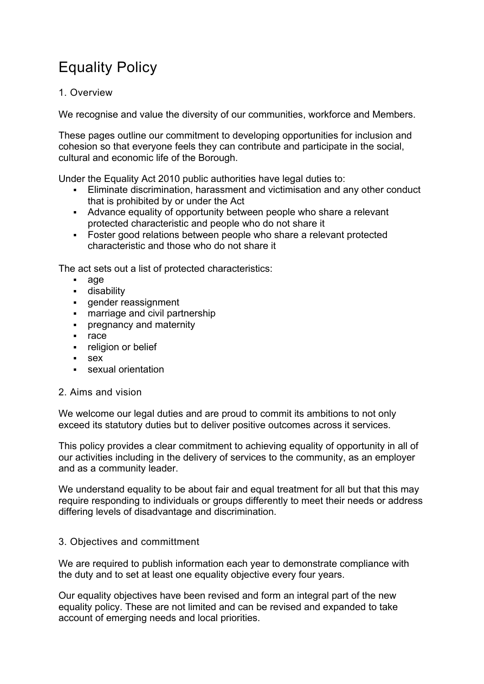# Equality Policy

## 1. Overview

We recognise and value the diversity of our communities, workforce and Members.

These pages outline our commitment to developing opportunities for inclusion and cohesion so that everyone feels they can contribute and participate in the social, cultural and economic life of the Borough.

Under the Equality Act 2010 public authorities have legal duties to:

- Eliminate discrimination, harassment and victimisation and any other conduct that is prohibited by or under the Act
- Advance equality of opportunity between people who share a relevant protected characteristic and people who do not share it
- Foster good relations between people who share a relevant protected characteristic and those who do not share it

The act sets out a list of protected characteristics:

- age
- **disability**
- **gender reassignment**
- **EXED** marriage and civil partnership
- **•** pregnancy and maternity
- race
- **•** religion or belief
- sex
- **sexual orientation**

### 2. Aims and vision

We welcome our legal duties and are proud to commit its ambitions to not only exceed its statutory duties but to deliver positive outcomes across it services.

This policy provides a clear commitment to achieving equality of opportunity in all of our activities including in the delivery of services to the community, as an employer and as a community leader.

We understand equality to be about fair and equal treatment for all but that this may require responding to individuals or groups differently to meet their needs or address differing levels of disadvantage and discrimination.

### 3. Objectives and committment

We are required to publish information each year to demonstrate compliance with the duty and to set at least one equality objective every four years.

Our equality objectives have been revised and form an integral part of the new equality policy. These are not limited and can be revised and expanded to take account of emerging needs and local priorities.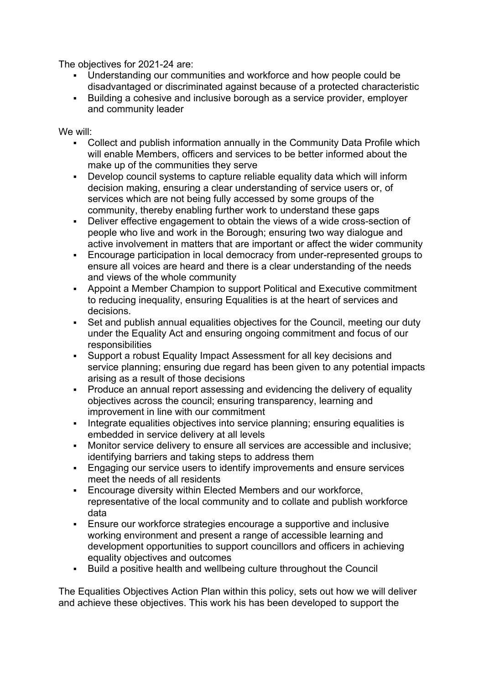The objectives for 2021-24 are:

- Understanding our communities and workforce and how people could be disadvantaged or discriminated against because of a protected characteristic
- Building a cohesive and inclusive borough as a service provider, employer and community leader

We will:

- Collect and publish information annually in the Community Data Profile which will enable Members, officers and services to be better informed about the make up of the communities they serve
- Develop council systems to capture reliable equality data which will inform decision making, ensuring a clear understanding of service users or, of services which are not being fully accessed by some groups of the community, thereby enabling further work to understand these gaps
- Deliver effective engagement to obtain the views of a wide cross-section of people who live and work in the Borough; ensuring two way dialogue and active involvement in matters that are important or affect the wider community
- Encourage participation in local democracy from under-represented groups to ensure all voices are heard and there is a clear understanding of the needs and views of the whole community
- Appoint a Member Champion to support Political and Executive commitment to reducing inequality, ensuring Equalities is at the heart of services and decisions.
- Set and publish annual equalities objectives for the Council, meeting our duty under the Equality Act and ensuring ongoing commitment and focus of our responsibilities
- Support a robust Equality Impact Assessment for all key decisions and service planning; ensuring due regard has been given to any potential impacts arising as a result of those decisions
- **Produce an annual report assessing and evidencing the delivery of equality** objectives across the council; ensuring transparency, learning and improvement in line with our commitment
- Integrate equalities objectives into service planning; ensuring equalities is embedded in service delivery at all levels
- Monitor service delivery to ensure all services are accessible and inclusive; identifying barriers and taking steps to address them
- Engaging our service users to identify improvements and ensure services meet the needs of all residents
- Encourage diversity within Elected Members and our workforce, representative of the local community and to collate and publish workforce data
- Ensure our workforce strategies encourage a supportive and inclusive working environment and present a range of accessible learning and development opportunities to support councillors and officers in achieving equality objectives and outcomes
- Build a positive health and wellbeing culture throughout the Council

The Equalities Objectives Action Plan within this policy, sets out how we will deliver and achieve these objectives. This work his has been developed to support the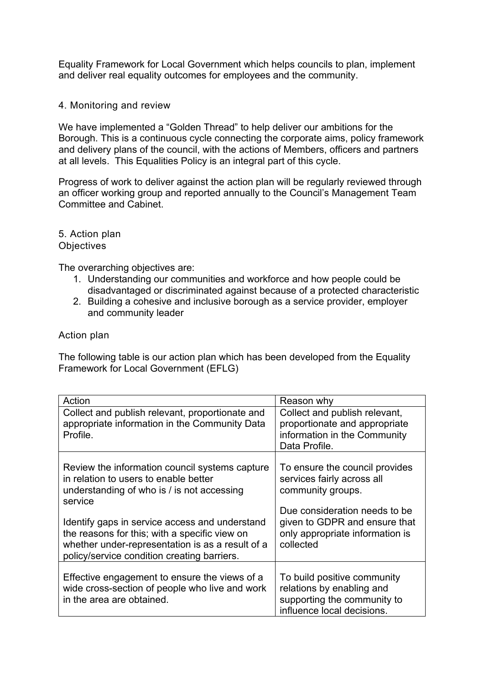Equality Framework for Local Government which helps councils to plan, implement and deliver real equality outcomes for employees and the community.

### 4. Monitoring and review

We have implemented a "Golden Thread" to help deliver our ambitions for the Borough. This is a continuous cycle connecting the corporate aims, policy framework and delivery plans of the council, with the actions of Members, officers and partners at all levels. This Equalities Policy is an integral part of this cycle.

Progress of work to deliver against the action plan will be regularly reviewed through an officer working group and reported annually to the Council's Management Team Committee and Cabinet.

5. Action plan **Objectives** 

The overarching objectives are:

- 1. Understanding our communities and workforce and how people could be disadvantaged or discriminated against because of a protected characteristic
- 2. Building a cohesive and inclusive borough as a service provider, employer and community leader

#### Action plan

The following table is our action plan which has been developed from the Equality Framework for Local Government (EFLG)

| Action                                                                                                                                                                                                                                                                                                  | Reason why                                                                                                                                                                                          |
|---------------------------------------------------------------------------------------------------------------------------------------------------------------------------------------------------------------------------------------------------------------------------------------------------------|-----------------------------------------------------------------------------------------------------------------------------------------------------------------------------------------------------|
| Collect and publish relevant, proportionate and<br>appropriate information in the Community Data<br>Profile.                                                                                                                                                                                            | Collect and publish relevant,<br>proportionate and appropriate<br>information in the Community<br>Data Profile.                                                                                     |
| Review the information council systems capture<br>in relation to users to enable better<br>understanding of who is / is not accessing<br>service<br>Identify gaps in service access and understand<br>the reasons for this; with a specific view on<br>whether under-representation is as a result of a | To ensure the council provides<br>services fairly across all<br>community groups.<br>Due consideration needs to be<br>given to GDPR and ensure that<br>only appropriate information is<br>collected |
| policy/service condition creating barriers.                                                                                                                                                                                                                                                             |                                                                                                                                                                                                     |
| Effective engagement to ensure the views of a<br>wide cross-section of people who live and work<br>in the area are obtained.                                                                                                                                                                            | To build positive community<br>relations by enabling and<br>supporting the community to<br>influence local decisions.                                                                               |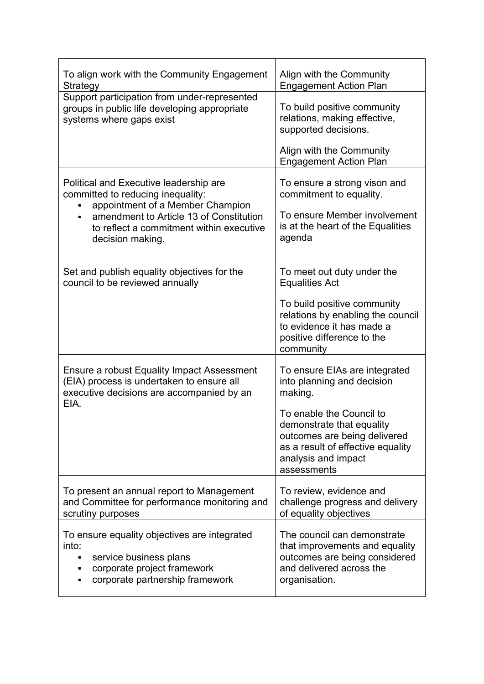| To align work with the Community Engagement<br>Strategy                                                                                                                                                                         | Align with the Community<br><b>Engagement Action Plan</b>                                                                                   |
|---------------------------------------------------------------------------------------------------------------------------------------------------------------------------------------------------------------------------------|---------------------------------------------------------------------------------------------------------------------------------------------|
| Support participation from under-represented<br>groups in public life developing appropriate<br>systems where gaps exist                                                                                                        | To build positive community<br>relations, making effective,<br>supported decisions.<br>Align with the Community                             |
|                                                                                                                                                                                                                                 | <b>Engagement Action Plan</b>                                                                                                               |
| Political and Executive leadership are<br>committed to reducing inequality:<br>appointment of a Member Champion<br>amendment to Article 13 of Constitution<br>٠<br>to reflect a commitment within executive<br>decision making. | To ensure a strong vison and<br>commitment to equality.<br>To ensure Member involvement<br>is at the heart of the Equalities<br>agenda      |
| Set and publish equality objectives for the<br>council to be reviewed annually                                                                                                                                                  | To meet out duty under the<br><b>Equalities Act</b>                                                                                         |
|                                                                                                                                                                                                                                 | To build positive community<br>relations by enabling the council<br>to evidence it has made a<br>positive difference to the<br>community    |
| Ensure a robust Equality Impact Assessment<br>(EIA) process is undertaken to ensure all<br>executive decisions are accompanied by an<br>EIA.                                                                                    | To ensure EIAs are integrated<br>into planning and decision<br>making.<br>To enable the Council to                                          |
|                                                                                                                                                                                                                                 | demonstrate that equality<br>outcomes are being delivered<br>as a result of effective equality<br>analysis and impact<br>assessments        |
| To present an annual report to Management<br>and Committee for performance monitoring and<br>scrutiny purposes                                                                                                                  | To review, evidence and<br>challenge progress and delivery<br>of equality objectives                                                        |
| To ensure equality objectives are integrated<br>into:<br>service business plans<br>corporate project framework<br>٠<br>corporate partnership framework<br>٠                                                                     | The council can demonstrate<br>that improvements and equality<br>outcomes are being considered<br>and delivered across the<br>organisation. |